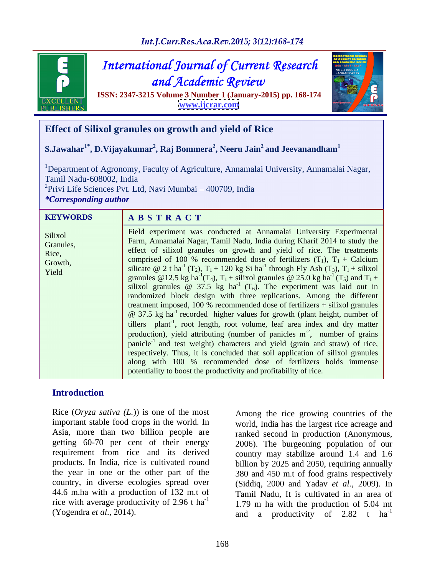

Int.J.Curr.Res.Aca.Rev.2015; 3(12):168-174

# **International Journal of Current Research** and Academic Review

**ISSN: 2347-3215 Volume 3 Number 1 (January-2015) pp. 168-174 [www.ijcrar.com](http://www.ijcrar.com)**



# **Effect of Silixol granules on growth and yield of Rice**

### ${\bf S}$ .Jawahar $^1^*$ ,  ${\bf D}$ .Vijayakumar $^2$ , Raj Bommera $^2$ , Neeru Jain $^2$  and Jeevanandham $^1$ **and Jeevanandham<sup>1</sup>**

<sup>1</sup>Department of Agronomy, Faculty of Agriculture, Annamalai University, Annamalai Nagar, Tamil Nadu-608002, India

 ${}^{2}$ Privi Life Sciences Pvt. Ltd, Navi Mumbai  $-400709$ , India

*\*Corresponding author*

### **A B S T R A C T** KEYWORDS A B S T R A C T

Field experiment was conducted at Annamalai University Experimental Farm, Annamalai Nagar, Tamil Nadu, India during Kharif 2014 to study the Silixol Granules,<br>Bice<br>Bice effect of silixol granules on growth and yield of rice. The treatments Rice,<br>
comprised of 100 % recommended dose of fertilizers  $(T_1)$ ,  $T_1$  + Calcium Growth,<br>Vield silicate  $\omega$  2 t ha<sup>-1</sup> (T<sub>2</sub>), T<sub>1</sub> + 120 kg Si ha<sup>-1</sup> through Fly Ash (T<sub>3</sub>), T<sub>1</sub> + silixol granules @12.5 kg ha<sup>-1</sup>(T<sub>4</sub>), T<sub>1</sub> + silixol granules @ 25.0 kg ha<sup>-1</sup>(T<sub>5</sub>) and T<sub>1</sub> +  $T_1$  (T<sub>5</sub>) and T<sub>1</sub> + silixol granules  $\omega$  37.5 kg ha<sup>-1</sup> (T<sub>6</sub>). The experiment was laid out in randomized block design with three replications. Among the different treatment imposed, 100 % recommended dose of fertilizers + silixol granules @ 37.5 kg ha -1 recorded higher values for growth (plant height, number of tillers plant<sup>-1</sup>, root length, root volume, leaf area index and dry matter production), yield attributing (number of panicles  $m<sup>2</sup>$ , number of grains panicle<sup>-1</sup> and test weight) characters and yield (grain and straw) of rice, respectively. Thus, it is concluded that soil application of silixol granules along with 100 % recommended dose of fertilizers holds immense potentiality to boost the productivity and profitability of rice. Yield SHICALE  $\mathbb{C}$  2 URL  $(12)$ ,  $1_1 + 120$  kg SI Ra unough Fly ASH  $(13)$ ,  $1_1 + 5$ HIAOI

# **Introduction**

Rice (*Oryza sativa (L.*)) is one of the most getting 60-70 per cent of their energy the year in one or the other part of the rice with average productivity of 2.96 t ha<sup>-1</sup>

important stable food crops in the world. In world, India has the largest rice acreage and Asia, more than two billion people are ranked second in production (Anonymous, requirement from rice and its derived country may stabilize around 1.4 and 1.6 products. In India, rice is cultivated round billion by 2025 and 2050, requiring annually country, in diverse ecologies spread over (Siddiq, 2000 and Yadav *et al.,* 2009). In 44.6 m.ha with a production of 132 m.t of Tamil Nadu, It is cultivated in an area of <sup>-1</sup> 1.79 m ha with the production of 5.04 mt (Yogendra *et al.*, 2014).  $\qquad \qquad \text{and} \qquad \text{a} \qquad \text{productivity} \qquad \text{of} \qquad 2.82 \qquad \text{the } \text{ha}^{\text{-1}}$ Among the rice growing countries of the 2006). The burgeoning population of our 380 and 450 m.t of food grains respectively -1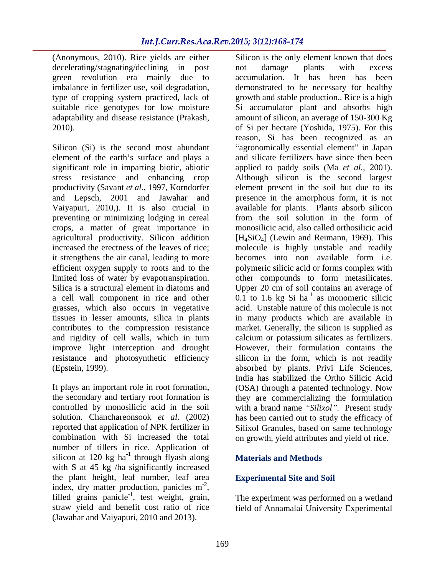(Anonymous, 2010). Rice yields are either Silicon is the only element known that does decelerating/stagnating/declining in post not damage plants with excess type of cropping system practiced, lack of

element of the earth's surface and plays a preventing or minimizing lodging in cereal from the soil solution in the form of crops, a matter of great importance in agricultural productivity. Silicon addition it strengthens the air canal, leading to more becomes into non available form i.e. grasses, which also occurs in vegetative resistance and photosynthetic efficiency

combination with Si increased the total on growth, yield attributes and yield of rice. number of tillers in rice. Application of silicon at  $120 \text{ kg}$  ha<sup>-1</sup> through flyash along **Materials and Methods** with S at 45 kg /ha significantly increased the plant height, leaf number, leaf area index, dry matter production, panicles m<sup>-2</sup>, filled grains panicle<sup>-1</sup>, test weight, grain, straw yield and benefit cost ratio of rice field of Annamalai University Experimental(Jawahar and Vaiyapuri, 2010 and 2013).

green revolution era mainly due to accumulation. It has been has been imbalance in fertilizer use, soil degradation, demonstrated to be necessary for healthy suitable rice genotypes for low moisture Si accumulator plant and absorbs high adaptability and disease resistance (Prakash, amount of silicon, an average of 150-300 Kg 2010). of Si per hectare (Yoshida, 1975). For this Silicon (Si) is the second most abundant "agronomically essential element" in Japan significant role in imparting biotic, abiotic applied to paddy soils (Ma *et al.,* 2001). stress resistance and enhancing crop Although silicon is the second largest productivity (Savant *et al.*, 1997, Korndorfer element present in the soil but due to its and Lepsch, 2001 and Jawahar and presence in the amorphous form, it is not Vaiyapuri, 2010,). It is also crucial in available for plants. Plants absorb silicon increased the erectness of the leaves of rice; molecule is highly unstable and readily efficient oxygen supply to roots and to the polymeric silicic acid or forms complex with limited loss of water by evapotranspiration. other compounds to form metasilicates. Silica is a structural element in diatoms and Upper 20 cm of soil contains an average of a cell wall component in rice and other  $0.1$  to 1.6 kg Si ha<sup>-1</sup> as monomeric silicic tissues in lesser amounts, silica in plants in many products which are available in contributes to the compression resistance market. Generally, the silicon is supplied as and rigidity of cell walls, which in turn calcium or potassium silicates as fertilizers. improve light interception and drought However, their formulation contains the (Epstein, 1999). absorbed by plants. Privi Life Sciences, It plays an important role in root formation, (OSA) through a patented technology. Now the secondary and tertiary root formation is they are commercializing the formulation controlled by monosilicic acid in the soil with a brand name "Silixol". Present study solution. Chanchareonsook *et al*. (2002) has been carried out to study the efficacy of reported that application of NPK fertilizer in Silixol Granules, based on same technology not damage plants with excess growth and stable production.. Rice is a high reason, Si has been recognized as an and silicate fertilizers have since then been from the soil solution in the form of monosilicic acid, also called orthosilicic acid [H<sub>4</sub>SiO<sub>4</sub>] (Lewin and Reimann, 1969). This becomes into non available form i.e. as monomeric silicic acid. Unstable nature of this molecule is not silicon in the form, which is not readily India has stabilized the Ortho Silicic Acid

### through flyash along **Materials and Methods Materials and Methods**

### -2 and  $\overline{a}$  and  $\overline{a}$  and  $\overline{a}$  and  $\overline{a}$  and  $\overline{a}$  and  $\overline{a}$  and  $\overline{a}$  and  $\overline{a}$  and  $\overline{a}$  and  $\overline{a}$  and  $\overline{a}$  and  $\overline{a}$  and  $\overline{a}$  and  $\overline{a}$  and  $\overline{a}$  and  $\overline{a}$  and  $\overline{a}$ **Experimental Site and Soil**

<sup>-1</sup>, test weight, grain, The experiment was performed on a wetland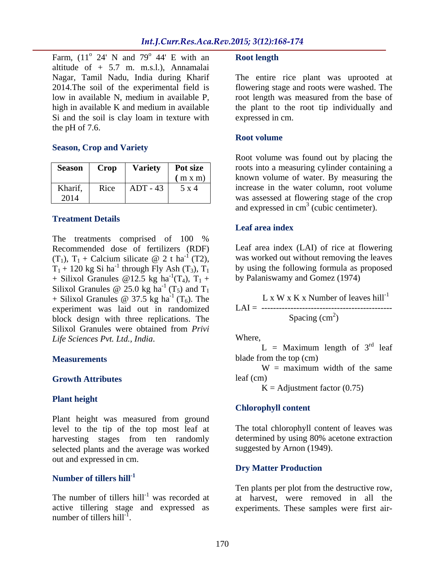Farm,  $(11^{\circ} 24' N$  and  $79^{\circ} 44' E$  with an **Root length**  $24'$  N and  $79^{\circ}$  44' E with an **Root length**  $\alpha$   $\Delta A^{\dagger}$  E with an **D** cost length 44' E with an **Root length** altitude of + 5.7 m. m.s.l.), Annamalai Nagar, Tamil Nadu, India during Kharif The entire rice plant was uprooted at 2014.The soil of the experimental field is flowering stage and roots were washed. The low in available N, medium in available P, root length was measured from the base of high in available K and medium in available the plant to the root tip individually and Si and the soil is clay loam in texture with the pH of 7.6.

### **Season, Crop and Variety**

| <b>Season</b>   | Crop | <b>Variety</b> | Pot size<br>(m x m) |
|-----------------|------|----------------|---------------------|
| Kharif,<br>2014 | Rice | ADT - 43       | 5 x 4               |

## **Treatment Details**

The treatments comprised of 100 %<br>Recommended dose of fertilizers (RDF) Recommended dose of fertilizers (RDF) Leaf area index (LAI) of rice at flowering  $(T_1)$ ,  $T_1$  + Calcium silicate @ 2 t ha<sup>-1</sup> (T2), was worked out without removing the leaves  $T_1$  + 120 kg Si ha<sup>-1</sup> through Fly Ash (T<sub>3</sub>), T<sub>1</sub> + Silixol Granules @12.5 kg ha<sup>-1</sup>(T<sub>4</sub>), T<sub>1</sub> + Silixol Granules  $\omega$  25.0 kg ha<sup>-1</sup> (T<sub>5</sub>) and T<sub>1</sub>  $^{-1}$  (T<sub>5</sub>) and T<sub>1</sub>  $+$  Silixol Granules @ 37.5 kg ha<sup>-1</sup> (T<sub>6</sub>). The  $\qquad \qquad$  L x W x K x Number of leaves hill<sup>-1</sup> experiment was laid out in randomized block design with three replications. The Silixol Granules were obtained from *Privi Life Sciences Pvt. Ltd., India*.

### **Plant height**

Plant height was measured from ground level to the tip of the top most leaf at harvesting stages from ten randomly selected plants and the average was worked out and expressed in cm.<br> **Dry Matter Production** 

### **Number of tillers hill-1**

The number of tillers hill<sup>-1</sup> was recorded at active tillering stage and expressed as active tillering stage and expressed as experiments. These samples were first airnumber of tillers hill<sup>-1</sup>.

expressed in cm.

### **Root volume**

**Season Crop Variety Pot size** roots into a measuring cylinder containing a (m x m) known volume of water. By measuring the Kharif, Rice  $\vert$  ADT - 43  $\vert$  5 x 4  $\vert$  increase in the water column, root volume 2014 was assessed at flowering stage of the crop If  $2\%$  It is via an Rootlength<br>
In 2014 and Rootlength<br>
In this distanting Charin' The entire rice plant was uprooted at<br>
India distanting Charin' The entire rice plant to the root up individually and<br>
experimental fiel Root volume was found out by placing the and expressed in  $cm<sup>3</sup>$  (cubic centimeter).

### **Leaf area index**

 $^{1}$  (T2), was worked out without removing the leaves <sup>-1</sup> through Fly Ash  $(T_3)$ ,  $T_1$  by using the following formula as proposed  $T^1(T_4)$ ,  $T_1$  + by Palaniswamy and Gomez (1974)

 $L \times W \times K \times N$  umber of leaves hill<sup>-1</sup> LAI = --------------------------------------------- Spacing  $(cm<sup>2</sup>)$ ) and the contract of  $\mathcal{L}$ 

**Measurements** blade from the top (cm)  $L =$  Maximum length of 3<sup>rd</sup> leaf  $L =$  Maximum length of  $3<sup>rd</sup>$  leaf <sup>rd</sup> leaf

**Growth Attributes** leaf (cm)  $W =$  maximum width of the same leaf (cm)

 $K =$  Adjustment factor (0.75)

## **Chlorophyll content**

The total chlorophyll content of leaves was determined by using 80% acetone extraction suggested by Arnon (1949).

# **Dry Matter Production**

was recorded at at harvest, were removed in all the Ten plants per plot from the destructive row,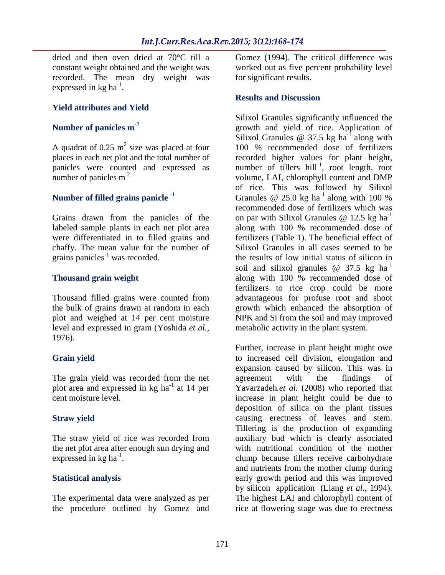dried and then oven dried at 70°C till a Gomez (1994). The critical difference was constant weight obtained and the weight was worked out as five percent probability level recorded. The mean dry weight was  $\epsilon$  expressed in kg ha<sup>-1</sup>. . A construction of the construction of the construction of the construction of the construction of the constr<br>The construction of the construction of the construction of the construction of the construction of the constr

## **Yield attributes and Yield**

A quadrat of  $0.25$  m<sup>2</sup> size was placed at four

Grains drawn from the panicles of the on par with Silixol Granules  $\omega$  12.5 kg ha<sup>-1</sup> were differentiated in to filled grains and chaffy. The mean value for the number of grains panicles<sup>-1</sup> was recorded.

level and expressed in gram (Yoshida *et al.,* 1976).

The grain yield was recorded from the net agreement with the findings of plot area and expressed in  $kg$  ha<sup>-1</sup> at 14 per

The straw yield of rice was recorded from the net plot area after enough sun drying and

for significant results.

### **Results and Discussion**

**Number of panicles m<sup>-2</sup>** growth and yield of rice. Application of <sup>2</sup> size was placed at four 100 % recommended dose of fertilizers places in each net plot and the total number of recorded higher values for plant height, panicles were counted and expressed as mumber of tillers hill<sup>-1</sup>, root length, root number of panicles m<sup>-2</sup> volume, LAI, chlorophyll content and DMP Number of filled grains panicle<sup>-1</sup> Granules @ 25.0 kg ha<sup>-1</sup> along with 100 % labeled sample plants in each net plot area along with 100 % recommended dose of grains panicles<sup>-1</sup> was recorded. the results of low initial status of silicon in **Thousand grain weight along** with 100 % recommended dose of Thousand filled grains were counted from advantageous for profuse root and shoot the bulk of grains drawn at random in each growth which enhanced the absorption of plot and weighed at 14 per cent moisture NPK and Si from the soil and may improved Silixol Granules significantly influenced the Silixol Granules  $\omega$  37.5 kg ha<sup>-1</sup> along with Silixol Granules @ 37.5 kg ha<sup>-1</sup> along with along with of rice. This was followed by Silixol Granules  $\omega$  25.0 kg ha<sup>-1</sup> along with 100 % along with 100 % recommended dose of fertilizers which was on par with Silixol Granules  $\omega$  12.5 kg ha<sup>-1</sup> -1 fertilizers (Table 1). The beneficial effect of Silixol Granules in all cases seemed to be soil and silixol granules  $\omega$  37.5 kg ha<sup>-1</sup> -1 along with 100 % recommended dose of fertilizers to rice crop could be more metabolic activity in the plant system.

**Grain yield** to increased cell division, elongation and -1 at 14 per Yavarzadeh*.et al.* (2008) who reported that cent moisture level. increase in plant height could be due to **Straw yield causing erectness of leaves and stem.** expressed in kg ha<sup>-1</sup>. Clump because tillers receive carbohydrate **Statistical analysis** early growth period and this was improved The experimental data were analyzed as per The highest LAI and chlorophyll content of the procedure outlined by Gomez and rice at flowering stage was due to erectnessFurther, increase in plant height might owe expansion caused by silicon. This was in agreement with the findings of deposition of silica on the plant tissues Tillering is the production of expanding auxiliary bud which is clearly associated with nutritional condition of the mother and nutrients from the mother clump during by silicon application (Liang *et al.,* 1994).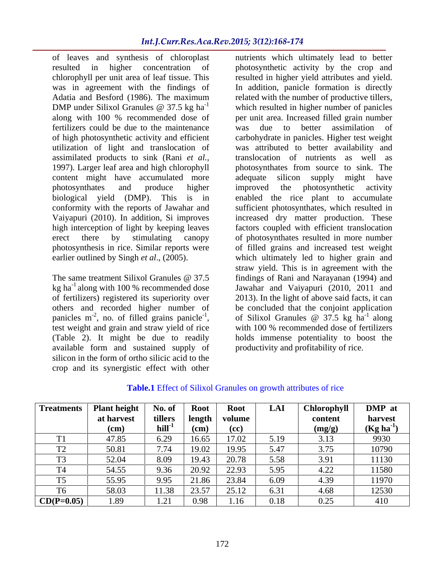of leaves and synthesis of chloroplast nutrients which ultimately lead to better resulted in higher concentration of photosynthetic activity by the crop and chlorophyll per unit area of leaf tissue. This resulted in higher yield attributes and yield. was in agreement with the findings of In addition, panicle formation is directly Adatia and Besford (1986). The maximum related with the number of productive tillers, DMP under Silixol Granules  $\omega$  37.5 kg ha<sup>-1</sup> which resulted in higher number of panicles along with 100 % recommended dose of fertilizers could be due to the maintenance of high photosynthetic activity and efficient carbohydrate in panicles. Higher test weight utilization of light and translocation of assimilated products to sink (Rani *et al.,* 1997). Larger leaf area and high chlorophyll content might have accumulated more adequate silicon supply might have photosynthates and produce higher biological yield (DMP). This is in enabled the rice plant to accumulate conformity with the reports of Jawahar and Vaiyapuri (2010). In addition, Si improves increased dry matter production. These high interception of light by keeping leaves factors coupled with efficient translocation erect there by stimulating canopy of photosynthates resulted in more number photosynthesis in rice. Similar reports were of filled grains and increased test weight earlier outlined by Singh *et al*., (2005). which ultimately led to higher grain and

kg ha $^{-1}$  along with 100 % recommended dose others and recorded higher number of panicles  $m<sup>-2</sup>$ , no. of filled grains panicle<sup>-1</sup>, available form and sustained supply of silicon in the form of ortho silicic acid to the crop and its synergistic effect with other

-1 which resulted in higher number of panicles The same treatment Silixol Granules @ 37.5 findings of Rani and Narayanan (1994) and of fertilizers) registered its superiority over 2013). In the light of above said facts, it can <sup>-2</sup>, no. of filled grains panicle<sup>-1</sup>, of Silixol Granules @ 37.5 kg ha<sup>-1</sup> along panicles m<sup>-2</sup>, no. of filled grains panicle<sup>-1</sup>, of Silixol Granules @ 37.5 kg ha<sup>-1</sup> along<br>test weight and grain and straw yield of rice with 100 % recommended dose of fertilizers (Table 2). It might be due to readily holds immense potentiality to boost the per unit area. Increased filled grain number was due to better assimilation of was attributed to better availability and translocation of nutrients as well as photosynthates from source to sink. The adequate silicon supply might have improved the photosynthetic activity sufficient photosynthates, which resulted in straw yield. This is in agreement with the findings of Rani and Narayanan (1994) and Jawahar and Vaiyapuri (2010, 2011 and be concluded that the conjoint application of Silixol Granules  $\omega$  37.5 kg ha<sup>-1</sup> along  $^{-1}$  along with 100 % recommended dose of fertilizers productivity and profitability of rice.

| <b>Treatments</b> | <b>Plant height</b> | No. of               | <b>Root</b> | Root           | LAI  | Chlorophyll | DMP at         |
|-------------------|---------------------|----------------------|-------------|----------------|------|-------------|----------------|
|                   | at harvest          | tillers              | length      | volume         |      | content     | harvest        |
|                   | (cm)                | $\mathbf{hill}^{-1}$ | $(cm)$      | (cc)           |      | (mg/g)      | $(Kg ha^{-1})$ |
|                   | 47.85               | 6.29                 | 16.65       | 17.02          | 5.19 | 3.13        | 9930           |
|                   | 50.8                | 7.74                 | 19.02       | 19.95          | 5.47 | 3.75        | 10790          |
| $\sim$            | 52.04               | 8.09                 | 19.43       | 20.78<br>20.70 | 5.58 | 3.91        | 11130          |
| TTA               | 54.55               | 9.36                 | 20.92       | 22.93          | 5.95 | 4.22        | 11580          |
| $\mathbf{m}$      | 55.95               | 9.95                 | 21.86       | 23.84          | 6.09 | 4.39        | 11970          |
| T <sub>6</sub>    | 58.03               | 11.38                | 23.57       | 25.12          | 6.3  | 4.68        | 12530          |
| $CD(P=0.05)$      | 1.89                | . <i>. .</i> .       | 0.98        | l.16           | 0.18 | 0.25        | 410            |

**Table.1** Effect of Silixol Granules on growth attributes of rice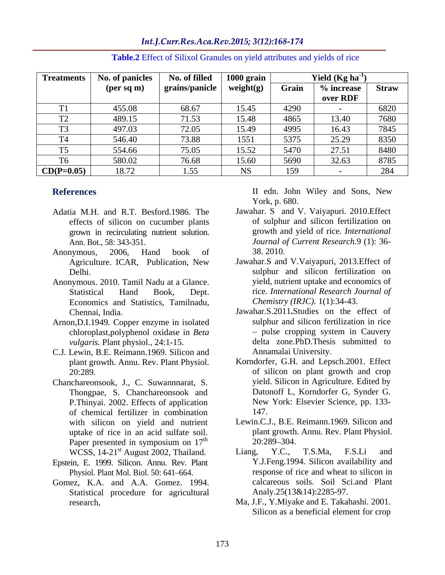Int.J.Curr.Res.Aca.Rev.2015; 3(12):168-174

| Treatments   | No. of panicles | No. of filled              | 1000 grain |       | Yield (Kg ha |              |
|--------------|-----------------|----------------------------|------------|-------|--------------|--------------|
|              | (per sq m)      | grains/panicle   weight(g) |            | Grain | % increase   | <b>Straw</b> |
|              |                 |                            |            |       | over RDF     |              |
|              | 455.08          | 68.67                      | 15.45      | 4290  |              | 6820         |
| $\mathbf{m}$ | 489.15          | 71.53                      | 15.48      | 4865  | 13.40        | 7680         |
| $\mathbf{m}$ | 497.03          | 72.05                      | 15.49      | 4995  | 16.43        | 7845         |
| $\mathbf{m}$ | 546.40          | 73.88                      | 1551       | 5375  | 25.29        | 8350         |
| $\mathbf{L}$ | 554.66          | 75.05                      | 15.52      | 5470  | 27.51        | 8480         |
| T6           | 580.02          | 76.68                      | 15.60      | 5690  | 32.63        | 8785         |
| $CD(P=0.05)$ | 18.72           | 1.55                       | <b>NS</b>  | 159   |              | 284          |

**Table.2** Effect of Silixol Granules on yield attributes and yields of rice

- Adatia M.H. and R.T. Besford.1986. The effects of silicon on cucumber plants grown in recirculating nutrient solution.
- Anonymous, 2006, Hand book of 38.2010. Agriculture. ICAR, Publication, New
- Anonymous. 2010. Tamil Nadu at a Glance. Economics and Statistics, Tamilnadu,
- Arnon, D.I.1949. Copper enzyme in isolated sulphur and silicon fertilization in rice<br>chloroplast.polyphenol oxidase in *Beta* pulse cropping system in Cauvery chloroplast,polyphenol oxidase in *Beta vulgaris.* Plant physiol., 24:1-15.
- C.J. Lewin, B.E. Reimann.1969. Silicon and
- Chanchareonsook, J., C. Suwannnarat, S. Thongpae, S. Chanchareonsook and P.Thinyai. 2002. Effects of application of chemical fertilizer in combination uptake of rice in an acid sulfate soil.  $\mu$  plant growth<br>Paper presented in symposium on  $17<sup>th</sup>$  20:289–304. Paper presented in symposium on  $17^{th}$  20:289–304.<br>WCSS, 14-21<sup>st</sup> August 2002, Thailand. Liang, Y.C., T.S.Ma, F.S.Li
- Epstein, E. 1999. Silicon. Annu. Rev. Plant Physiol. Plant Mol. Biol. 50: 641-664.
- Gomez, K.A. and A.A. Gomez. 1994. Statistical procedure for agricultural

**References**  II edn. John Wiley and Sons, New York, p. 680.

- Ann. Bot., 58: 343-351. *Journal of Current Research.*9 (1): 36- Jawahar. S and V. Vaiyapuri. 2010.Effect of sulphur and silicon fertilization on growth and yield of rice. *International*  38. 2010.
- Delhi. sulphur and silicon fertilization on Statistical Hand Book, Dept. rice. *International Research Journal of* Jawahar.S and V.Vaiyapuri, 2013.Effect of yield, nutrient uptake and economics of *Chemistry (IRJC).* 1(1):34-43.
- Chennai, India. Jawahar.S.2011**.**Studies on the effect of sulphur and silicon fertilization in rice pulse cropping system in Cauvery delta zone.PhD.Thesis submitted to Annamalai University.
- plant growth. Annu. Rev. Plant Physiol. Korndorfer, G.H. and Lepsch.2001. Effect 20:289. of silicon on plant growth and crop yield. Silicon in Agriculture. Edited by Datonoff L, Korndorfer G, Synder G. New York: Elsevier Science, pp. 133- 147.
- with silicon on yield and nutrient Lewin.C.J., B.E. Reimann.1969. Silicon and th  $20.289 - 304$ plant growth. Annu. Rev. Plant Physiol. 20:289 304.
- WCSS, 14-21<sup>st</sup> August 2002, Thailand. Liang, Y.C., T.S.Ma, F.S.Li and Liang, Y.C., T.S.Ma, F.S.Li and Y.J.Feng.1994. Silicon availability and response of rice and wheat to silicon in calcareous soils. Soil Sci.and Plant Analy.25(13&14):2285-97.
- research, Ma, J.F., Y.Miyake and E. Takahashi. 2001. Silicon as a beneficial element for crop